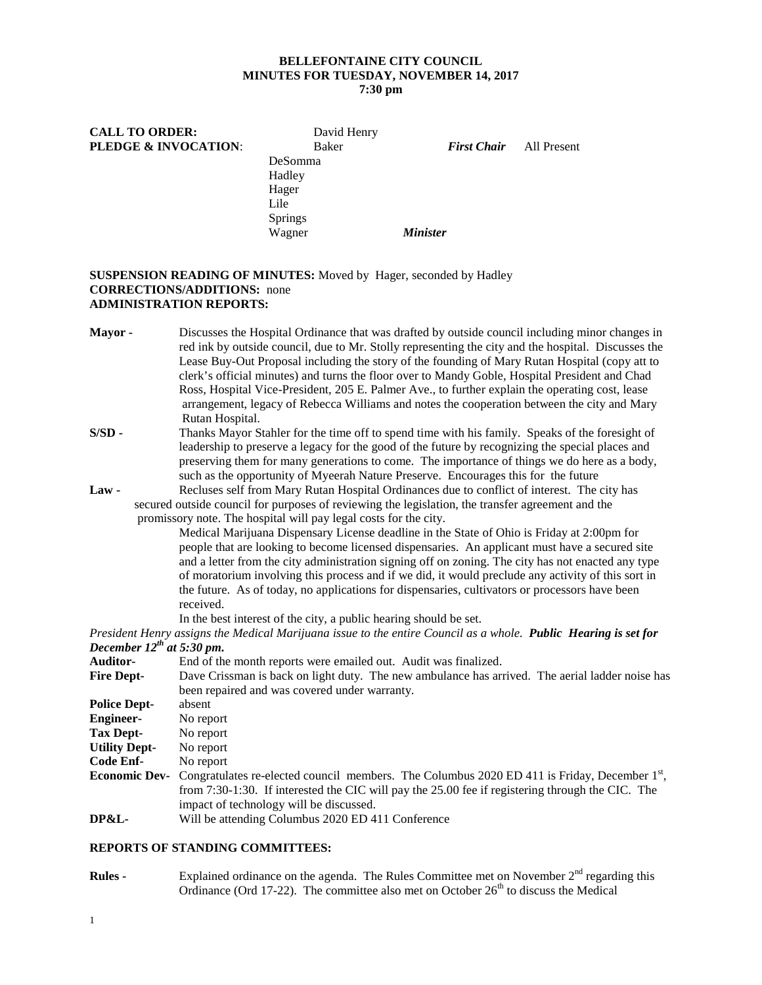# **BELLEFONTAINE CITY COUNCIL MINUTES FOR TUESDAY, NOVEMBER 14, 2017**

**7:30 pm**

**PLEDGE & INVOCATION**: Baker *First Chair* All Present

**CALL TO ORDER:** David Henry<br> **PLEDGE & INVOCATION:** Baker

|                                | DeSomma                                                                                                                                                                                                                                                                                                                                                                                                                                                                                                                      |  |  |  |
|--------------------------------|------------------------------------------------------------------------------------------------------------------------------------------------------------------------------------------------------------------------------------------------------------------------------------------------------------------------------------------------------------------------------------------------------------------------------------------------------------------------------------------------------------------------------|--|--|--|
|                                | Hadley                                                                                                                                                                                                                                                                                                                                                                                                                                                                                                                       |  |  |  |
|                                | Hager                                                                                                                                                                                                                                                                                                                                                                                                                                                                                                                        |  |  |  |
|                                | Lile                                                                                                                                                                                                                                                                                                                                                                                                                                                                                                                         |  |  |  |
|                                | Springs                                                                                                                                                                                                                                                                                                                                                                                                                                                                                                                      |  |  |  |
|                                | <b>Minister</b><br>Wagner                                                                                                                                                                                                                                                                                                                                                                                                                                                                                                    |  |  |  |
|                                |                                                                                                                                                                                                                                                                                                                                                                                                                                                                                                                              |  |  |  |
|                                | <b>SUSPENSION READING OF MINUTES:</b> Moved by Hager, seconded by Hadley<br><b>CORRECTIONS/ADDITIONS:</b> none<br><b>ADMINISTRATION REPORTS:</b>                                                                                                                                                                                                                                                                                                                                                                             |  |  |  |
| Mayor -                        | Discusses the Hospital Ordinance that was drafted by outside council including minor changes in                                                                                                                                                                                                                                                                                                                                                                                                                              |  |  |  |
|                                | red ink by outside council, due to Mr. Stolly representing the city and the hospital. Discusses the<br>Lease Buy-Out Proposal including the story of the founding of Mary Rutan Hospital (copy att to<br>clerk's official minutes) and turns the floor over to Mandy Goble, Hospital President and Chad<br>Ross, Hospital Vice-President, 205 E. Palmer Ave., to further explain the operating cost, lease<br>arrangement, legacy of Rebecca Williams and notes the cooperation between the city and Mary<br>Rutan Hospital. |  |  |  |
| S/SD-                          | Thanks Mayor Stahler for the time off to spend time with his family. Speaks of the foresight of<br>leadership to preserve a legacy for the good of the future by recognizing the special places and<br>preserving them for many generations to come. The importance of things we do here as a body,<br>such as the opportunity of Myeerah Nature Preserve. Encourages this for the future                                                                                                                                    |  |  |  |
| <b>Law -</b>                   | Recluses self from Mary Rutan Hospital Ordinances due to conflict of interest. The city has                                                                                                                                                                                                                                                                                                                                                                                                                                  |  |  |  |
|                                | secured outside council for purposes of reviewing the legislation, the transfer agreement and the                                                                                                                                                                                                                                                                                                                                                                                                                            |  |  |  |
|                                | promissory note. The hospital will pay legal costs for the city.                                                                                                                                                                                                                                                                                                                                                                                                                                                             |  |  |  |
|                                | Medical Marijuana Dispensary License deadline in the State of Ohio is Friday at 2:00pm for<br>people that are looking to become licensed dispensaries. An applicant must have a secured site<br>and a letter from the city administration signing off on zoning. The city has not enacted any type<br>of moratorium involving this process and if we did, it would preclude any activity of this sort in<br>the future. As of today, no applications for dispensaries, cultivators or processors have been<br>received.      |  |  |  |
|                                | In the best interest of the city, a public hearing should be set.                                                                                                                                                                                                                                                                                                                                                                                                                                                            |  |  |  |
|                                | President Henry assigns the Medical Marijuana issue to the entire Council as a whole. Public Hearing is set for                                                                                                                                                                                                                                                                                                                                                                                                              |  |  |  |
| December $12^{th}$ at 5:30 pm. |                                                                                                                                                                                                                                                                                                                                                                                                                                                                                                                              |  |  |  |
| Auditor-                       | End of the month reports were emailed out. Audit was finalized.                                                                                                                                                                                                                                                                                                                                                                                                                                                              |  |  |  |
| <b>Fire Dept-</b>              | Dave Crissman is back on light duty. The new ambulance has arrived. The aerial ladder noise has                                                                                                                                                                                                                                                                                                                                                                                                                              |  |  |  |
|                                | been repaired and was covered under warranty.                                                                                                                                                                                                                                                                                                                                                                                                                                                                                |  |  |  |
| <b>Police Dept-</b>            | absent                                                                                                                                                                                                                                                                                                                                                                                                                                                                                                                       |  |  |  |
| <b>Engineer-</b>               | No report                                                                                                                                                                                                                                                                                                                                                                                                                                                                                                                    |  |  |  |
| <b>Tax Dept-</b>               | No report                                                                                                                                                                                                                                                                                                                                                                                                                                                                                                                    |  |  |  |
| <b>Utility Dept-</b>           | No report                                                                                                                                                                                                                                                                                                                                                                                                                                                                                                                    |  |  |  |
| Code Enf-                      | No report                                                                                                                                                                                                                                                                                                                                                                                                                                                                                                                    |  |  |  |
| <b>Economic Dev-</b>           | Congratulates re-elected council members. The Columbus 2020 ED 411 is Friday, December $1st$ ,<br>from 7:30-1:30. If interested the CIC will pay the 25.00 fee if registering through the CIC. The<br>impact of technology will be discussed.                                                                                                                                                                                                                                                                                |  |  |  |

# **DP&L-** Will be attending Columbus 2020 ED 411 Conference

#### **REPORTS OF STANDING COMMITTEES:**

**Rules -** Explained ordinance on the agenda. The Rules Committee met on November 2<sup>nd</sup> regarding this Ordinance (Ord 17-22). The committee also met on October  $26<sup>th</sup>$  to discuss the Medical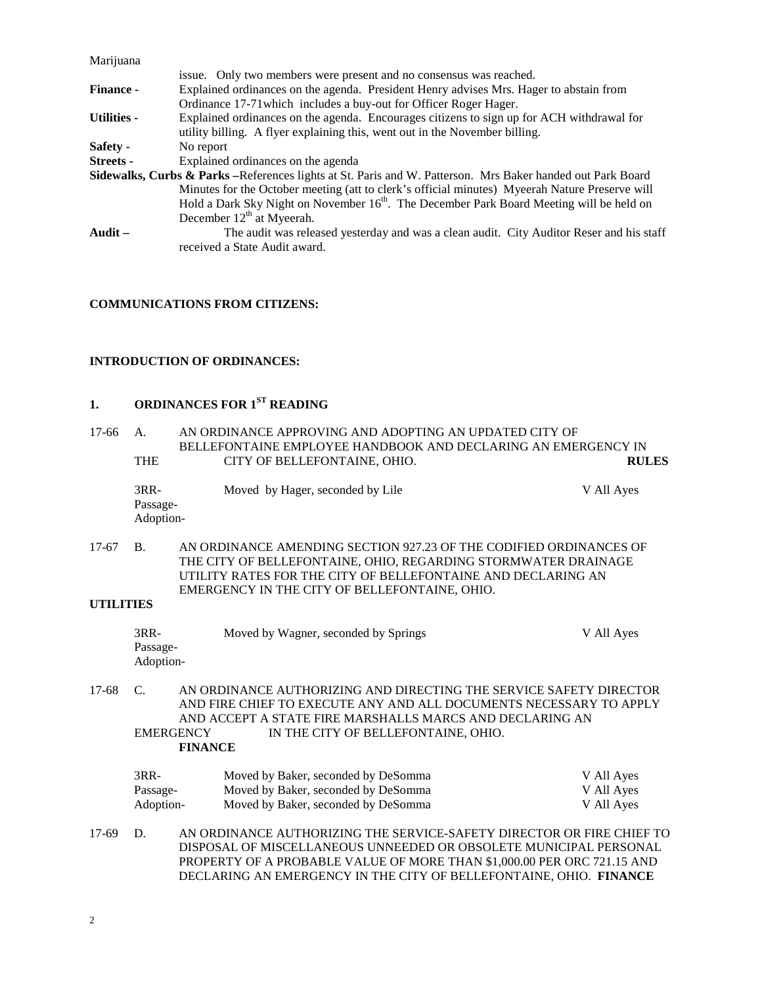| Marijuana          |                                                                                                                        |  |  |  |
|--------------------|------------------------------------------------------------------------------------------------------------------------|--|--|--|
|                    | issue. Only two members were present and no consensus was reached.                                                     |  |  |  |
| <b>Finance -</b>   | Explained ordinances on the agenda. President Henry advises Mrs. Hager to abstain from                                 |  |  |  |
|                    | Ordinance 17-71 which includes a buy-out for Officer Roger Hager.                                                      |  |  |  |
| <b>Utilities -</b> | Explained ordinances on the agenda. Encourages citizens to sign up for ACH withdrawal for                              |  |  |  |
|                    | utility billing. A flyer explaining this, went out in the November billing.                                            |  |  |  |
| Safety -           | No report                                                                                                              |  |  |  |
| <b>Streets -</b>   | Explained ordinances on the agenda                                                                                     |  |  |  |
|                    | <b>Sidewalks, Curbs &amp; Parks</b> – References lights at St. Paris and W. Patterson. Mrs Baker handed out Park Board |  |  |  |
|                    | Minutes for the October meeting (att to clerk's official minutes) Myeerah Nature Preserve will                         |  |  |  |
|                    | Hold a Dark Sky Night on November 16 <sup>th</sup> . The December Park Board Meeting will be held on                   |  |  |  |
|                    | December $12th$ at Myeerah.                                                                                            |  |  |  |
| Audit $-$          | The audit was released yesterday and was a clean audit. City Auditor Reser and his staff                               |  |  |  |
|                    | received a State Audit award.                                                                                          |  |  |  |

#### **COMMUNICATIONS FROM CITIZENS:**

#### **INTRODUCTION OF ORDINANCES:**

### **1. ORDINANCES FOR 1ST READING**

| 17-66 | A.                              | AN ORDINANCE APPROVING AND ADOPTING AN UPDATED CITY OF        |              |
|-------|---------------------------------|---------------------------------------------------------------|--------------|
|       |                                 | BELLEFONTAINE EMPLOYEE HANDBOOK AND DECLARING AN EMERGENCY IN |              |
|       | <b>THE</b>                      | CITY OF BELLEFONTAINE, OHIO.                                  | <b>RULES</b> |
|       | $3RR-$<br>Passage-<br>Adoption- | Moved by Hager, seconded by Lile                              | V All Ayes   |

17-67 B. AN ORDINANCE AMENDING SECTION 927.23 OF THE CODIFIED ORDINANCES OF THE CITY OF BELLEFONTAINE, OHIO, REGARDING STORMWATER DRAINAGE UTILITY RATES FOR THE CITY OF BELLEFONTAINE AND DECLARING AN EMERGENCY IN THE CITY OF BELLEFONTAINE, OHIO.

#### **UTILITIES**

| $3RR-$    | Moved by Wagner, seconded by Springs | V All Aves |
|-----------|--------------------------------------|------------|
| Passage-  |                                      |            |
| Adoption- |                                      |            |

17-68 C. AN ORDINANCE AUTHORIZING AND DIRECTING THE SERVICE SAFETY DIRECTOR AND FIRE CHIEF TO EXECUTE ANY AND ALL DOCUMENTS NECESSARY TO APPLY AND ACCEPT A STATE FIRE MARSHALLS MARCS AND DECLARING AN EMERGENCY IN THE CITY OF BELLEFONTAINE. OHIO. IN THE CITY OF BELLEFONTAINE, OHIO. **FINANCE**

| 3RR-      | Moved by Baker, seconded by DeSomma | V All Ayes |
|-----------|-------------------------------------|------------|
| Passage-  | Moved by Baker, seconded by DeSomma | V All Ayes |
| Adoption- | Moved by Baker, seconded by DeSomma | V All Ayes |

17-69 D. AN ORDINANCE AUTHORIZING THE SERVICE-SAFETY DIRECTOR OR FIRE CHIEF TO DISPOSAL OF MISCELLANEOUS UNNEEDED OR OBSOLETE MUNICIPAL PERSONAL PROPERTY OF A PROBABLE VALUE OF MORE THAN \$1,000.00 PER ORC 721.15 AND DECLARING AN EMERGENCY IN THE CITY OF BELLEFONTAINE, OHIO. **FINANCE**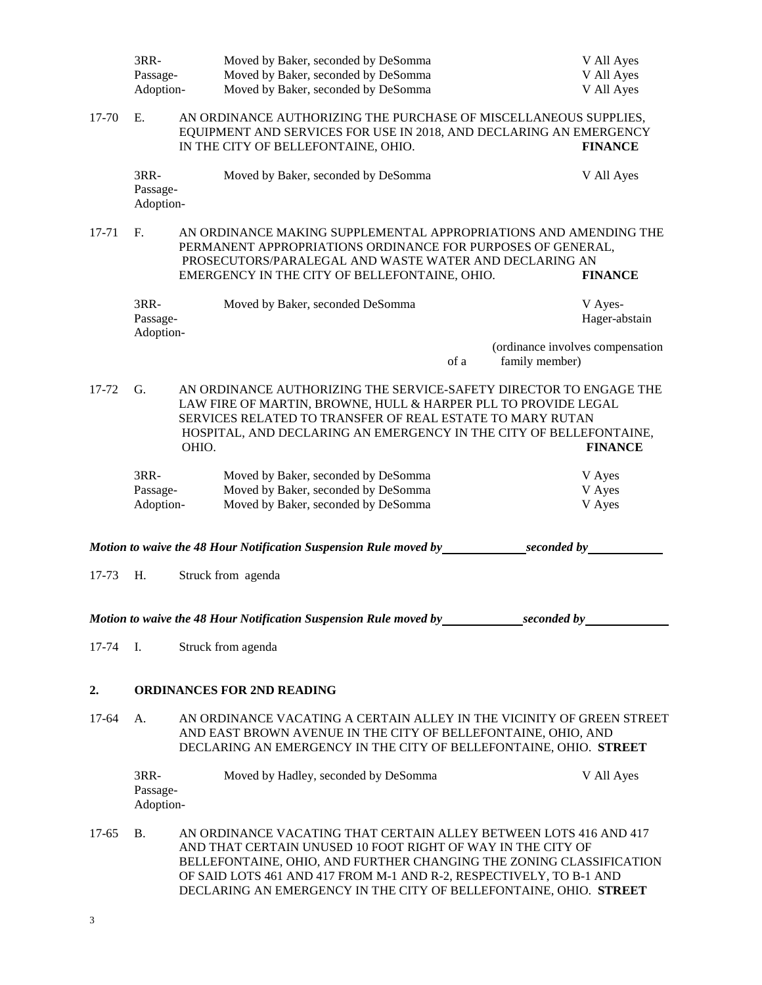|                                                                                                                                                                                              | 3RR-                                                                                                                                                                                                                                                                                   | Moved by Baker, seconded by DeSomma<br>Moved by Baker, seconded by DeSomma<br>Passage-<br>Adoption-<br>Moved by Baker, seconded by DeSomma |                                                                                                                                                                                                                                                                                                                                                     |                | V All Ayes<br>V All Ayes<br>V All Ayes |                                  |
|----------------------------------------------------------------------------------------------------------------------------------------------------------------------------------------------|----------------------------------------------------------------------------------------------------------------------------------------------------------------------------------------------------------------------------------------------------------------------------------------|--------------------------------------------------------------------------------------------------------------------------------------------|-----------------------------------------------------------------------------------------------------------------------------------------------------------------------------------------------------------------------------------------------------------------------------------------------------------------------------------------------------|----------------|----------------------------------------|----------------------------------|
| E.<br>AN ORDINANCE AUTHORIZING THE PURCHASE OF MISCELLANEOUS SUPPLIES,<br>17-70<br>EQUIPMENT AND SERVICES FOR USE IN 2018, AND DECLARING AN EMERGENCY<br>IN THE CITY OF BELLEFONTAINE, OHIO. |                                                                                                                                                                                                                                                                                        |                                                                                                                                            |                                                                                                                                                                                                                                                                                                                                                     |                |                                        | <b>FINANCE</b>                   |
|                                                                                                                                                                                              | 3RR-<br>Passage-<br>Adoption-                                                                                                                                                                                                                                                          |                                                                                                                                            | Moved by Baker, seconded by DeSomma                                                                                                                                                                                                                                                                                                                 |                |                                        | V All Ayes                       |
| 17-71                                                                                                                                                                                        | F.<br>AN ORDINANCE MAKING SUPPLEMENTAL APPROPRIATIONS AND AMENDING THE<br>PERMANENT APPROPRIATIONS ORDINANCE FOR PURPOSES OF GENERAL,<br>PROSECUTORS/PARALEGAL AND WASTE WATER AND DECLARING AN<br>EMERGENCY IN THE CITY OF BELLEFONTAINE, OHIO.                                       |                                                                                                                                            |                                                                                                                                                                                                                                                                                                                                                     |                |                                        | <b>FINANCE</b>                   |
|                                                                                                                                                                                              | 3RR-<br>Passage-<br>Adoption-                                                                                                                                                                                                                                                          |                                                                                                                                            | Moved by Baker, seconded DeSomma                                                                                                                                                                                                                                                                                                                    |                |                                        | V Ayes-<br>Hager-abstain         |
|                                                                                                                                                                                              |                                                                                                                                                                                                                                                                                        |                                                                                                                                            |                                                                                                                                                                                                                                                                                                                                                     | of a           | family member)                         | (ordinance involves compensation |
| 17-72                                                                                                                                                                                        | AN ORDINANCE AUTHORIZING THE SERVICE-SAFETY DIRECTOR TO ENGAGE THE<br>G.<br>LAW FIRE OF MARTIN, BROWNE, HULL & HARPER PLL TO PROVIDE LEGAL<br>SERVICES RELATED TO TRANSFER OF REAL ESTATE TO MARY RUTAN<br>HOSPITAL, AND DECLARING AN EMERGENCY IN THE CITY OF BELLEFONTAINE,<br>OHIO. |                                                                                                                                            |                                                                                                                                                                                                                                                                                                                                                     | <b>FINANCE</b> |                                        |                                  |
|                                                                                                                                                                                              | 3RR-<br>Passage-<br>Adoption-                                                                                                                                                                                                                                                          |                                                                                                                                            | Moved by Baker, seconded by DeSomma<br>Moved by Baker, seconded by DeSomma<br>Moved by Baker, seconded by DeSomma                                                                                                                                                                                                                                   |                |                                        | V Ayes<br>V Ayes<br>V Ayes       |
|                                                                                                                                                                                              |                                                                                                                                                                                                                                                                                        |                                                                                                                                            | Motion to waive the 48 Hour Notification Suspension Rule moved by                                                                                                                                                                                                                                                                                   |                | seconded by                            |                                  |
| 17-73                                                                                                                                                                                        | H.                                                                                                                                                                                                                                                                                     |                                                                                                                                            | Struck from agenda                                                                                                                                                                                                                                                                                                                                  |                |                                        |                                  |
|                                                                                                                                                                                              |                                                                                                                                                                                                                                                                                        |                                                                                                                                            |                                                                                                                                                                                                                                                                                                                                                     |                |                                        |                                  |
| 17-74                                                                                                                                                                                        | $\mathbf{I}$ .                                                                                                                                                                                                                                                                         |                                                                                                                                            | Struck from agenda                                                                                                                                                                                                                                                                                                                                  |                |                                        |                                  |
| 2.                                                                                                                                                                                           |                                                                                                                                                                                                                                                                                        |                                                                                                                                            | <b>ORDINANCES FOR 2ND READING</b>                                                                                                                                                                                                                                                                                                                   |                |                                        |                                  |
| $17-64$                                                                                                                                                                                      | AN ORDINANCE VACATING A CERTAIN ALLEY IN THE VICINITY OF GREEN STREET<br>A.<br>AND EAST BROWN AVENUE IN THE CITY OF BELLEFONTAINE, OHIO, AND<br>DECLARING AN EMERGENCY IN THE CITY OF BELLEFONTAINE, OHIO. STREET                                                                      |                                                                                                                                            |                                                                                                                                                                                                                                                                                                                                                     |                |                                        |                                  |
|                                                                                                                                                                                              | 3RR-<br>Passage-<br>Adoption-                                                                                                                                                                                                                                                          |                                                                                                                                            | Moved by Hadley, seconded by DeSomma                                                                                                                                                                                                                                                                                                                |                |                                        | V All Ayes                       |
| $17-65$                                                                                                                                                                                      | <b>B.</b>                                                                                                                                                                                                                                                                              |                                                                                                                                            | AN ORDINANCE VACATING THAT CERTAIN ALLEY BETWEEN LOTS 416 AND 417<br>AND THAT CERTAIN UNUSED 10 FOOT RIGHT OF WAY IN THE CITY OF<br>BELLEFONTAINE, OHIO, AND FURTHER CHANGING THE ZONING CLASSIFICATION<br>OF SAID LOTS 461 AND 417 FROM M-1 AND R-2, RESPECTIVELY, TO B-1 AND<br>DECLARING AN EMERGENCY IN THE CITY OF BELLEFONTAINE, OHIO. STREET |                |                                        |                                  |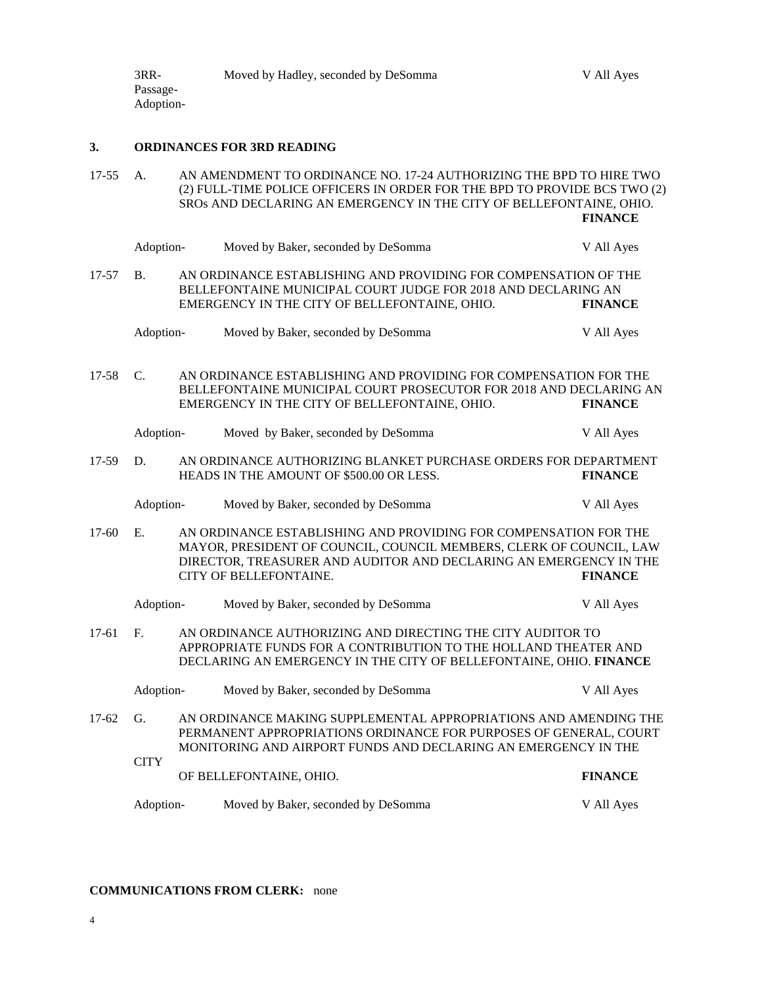#### **3. ORDINANCES FOR 3RD READING**

- 17-55 A. AN AMENDMENT TO ORDINANCE NO. 17-24 AUTHORIZING THE BPD TO HIRE TWO (2) FULL-TIME POLICE OFFICERS IN ORDER FOR THE BPD TO PROVIDE BCS TWO (2) SROs AND DECLARING AN EMERGENCY IN THE CITY OF BELLEFONTAINE, OHIO. **FINANCE**
- Adoption-<br>
Moved by Baker, seconded by DeSomma<br>
V All Ayes 17-57 B. AN ORDINANCE ESTABLISHING AND PROVIDING FOR COMPENSATION OF THE BELLEFONTAINE MUNICIPAL COURT JUDGE FOR 2018 AND DECLARING AN EMERGENCY IN THE CITY OF BELLEFONTAINE. OHIO. EMERGENCY IN THE CITY OF BELLEFONTAINE, OHIO. Adoption- Moved by Baker, seconded by DeSomma V All Ayes 17-58 C. AN ORDINANCE ESTABLISHING AND PROVIDING FOR COMPENSATION FOR THE BELLEFONTAINE MUNICIPAL COURT PROSECUTOR FOR 2018 AND DECLARING AN EMERGENCY IN THE CITY OF BELLEFONTAINE, OHIO. **FINANCE** Adoption- Moved by Baker, seconded by DeSomma V All Ayes 17-59 D. AN ORDINANCE AUTHORIZING BLANKET PURCHASE ORDERS FOR DEPARTMENT HEADS IN THE AMOUNT OF \$500.00 OR LESS. **FINANCE** Adoption- Moved by Baker, seconded by DeSomma V All Ayes 17-60 E. AN ORDINANCE ESTABLISHING AND PROVIDING FOR COMPENSATION FOR THE MAYOR, PRESIDENT OF COUNCIL, COUNCIL MEMBERS, CLERK OF COUNCIL, LAW DIRECTOR, TREASURER AND AUDITOR AND DECLARING AN EMERGENCY IN THE CITY OF BELLEFONTAINE. **FINANCE** Adoption- Moved by Baker, seconded by DeSomma V All Ayes 17-61 F. AN ORDINANCE AUTHORIZING AND DIRECTING THE CITY AUDITOR TO APPROPRIATE FUNDS FOR A CONTRIBUTION TO THE HOLLAND THEATER AND DECLARING AN EMERGENCY IN THE CITY OF BELLEFONTAINE, OHIO. **FINANCE** Adoption- Moved by Baker, seconded by DeSomma V All Ayes 17-62 G. AN ORDINANCE MAKING SUPPLEMENTAL APPROPRIATIONS AND AMENDING THE PERMANENT APPROPRIATIONS ORDINANCE FOR PURPOSES OF GENERAL, COURT MONITORING AND AIRPORT FUNDS AND DECLARING AN EMERGENCY IN THE **CITY** OF BELLEFONTAINE, OHIO. **FINANCE**
	- Adoption- Moved by Baker, seconded by DeSomma V All Ayes

#### **COMMUNICATIONS FROM CLERK:** none